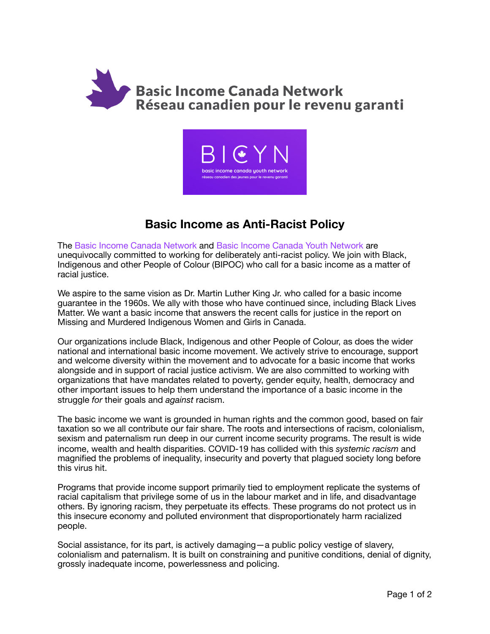



## **Basic Income as Anti-Racist Policy**

The Basic Income Canada Network and Basic Income Canada Youth Network are unequivocally committed to working for deliberately anti-racist policy. We join with Black, Indigenous and other People of Colour (BIPOC) who call for a basic income as a matter of racial justice.

We aspire to the same vision as Dr. Martin Luther King Jr. who called for a basic income guarantee in the 1960s. We ally with those who have continued since, including Black Lives Matter. We want a basic income that answers the recent calls for justice in the report on Missing and Murdered Indigenous Women and Girls in Canada.

Our organizations include Black, Indigenous and other People of Colour, as does the wider national and international basic income movement. We actively strive to encourage, support and welcome diversity within the movement and to advocate for a basic income that works alongside and in support of racial justice activism. We are also committed to working with organizations that have mandates related to poverty, gender equity, health, democracy and other important issues to help them understand the importance of a basic income in the struggle *for* their goals and *against* racism.

The basic income we want is grounded in human rights and the common good, based on fair taxation so we all contribute our fair share. The roots and intersections of racism, colonialism, sexism and paternalism run deep in our current income security programs. The result is wide income, wealth and health disparities. COVID-19 has collided with this *systemic racism* and magnified the problems of inequality, insecurity and poverty that plagued society long before this virus hit.

Programs that provide income support primarily tied to employment replicate the systems of racial capitalism that privilege some of us in the labour market and in life, and disadvantage others. By ignoring racism, they perpetuate its effects. These programs do not protect us in this insecure economy and polluted environment that disproportionately harm racialized people.

Social assistance, for its part, is actively damaging—a public policy vestige of slavery, colonialism and paternalism. It is built on constraining and punitive conditions, denial of dignity, grossly inadequate income, powerlessness and policing.